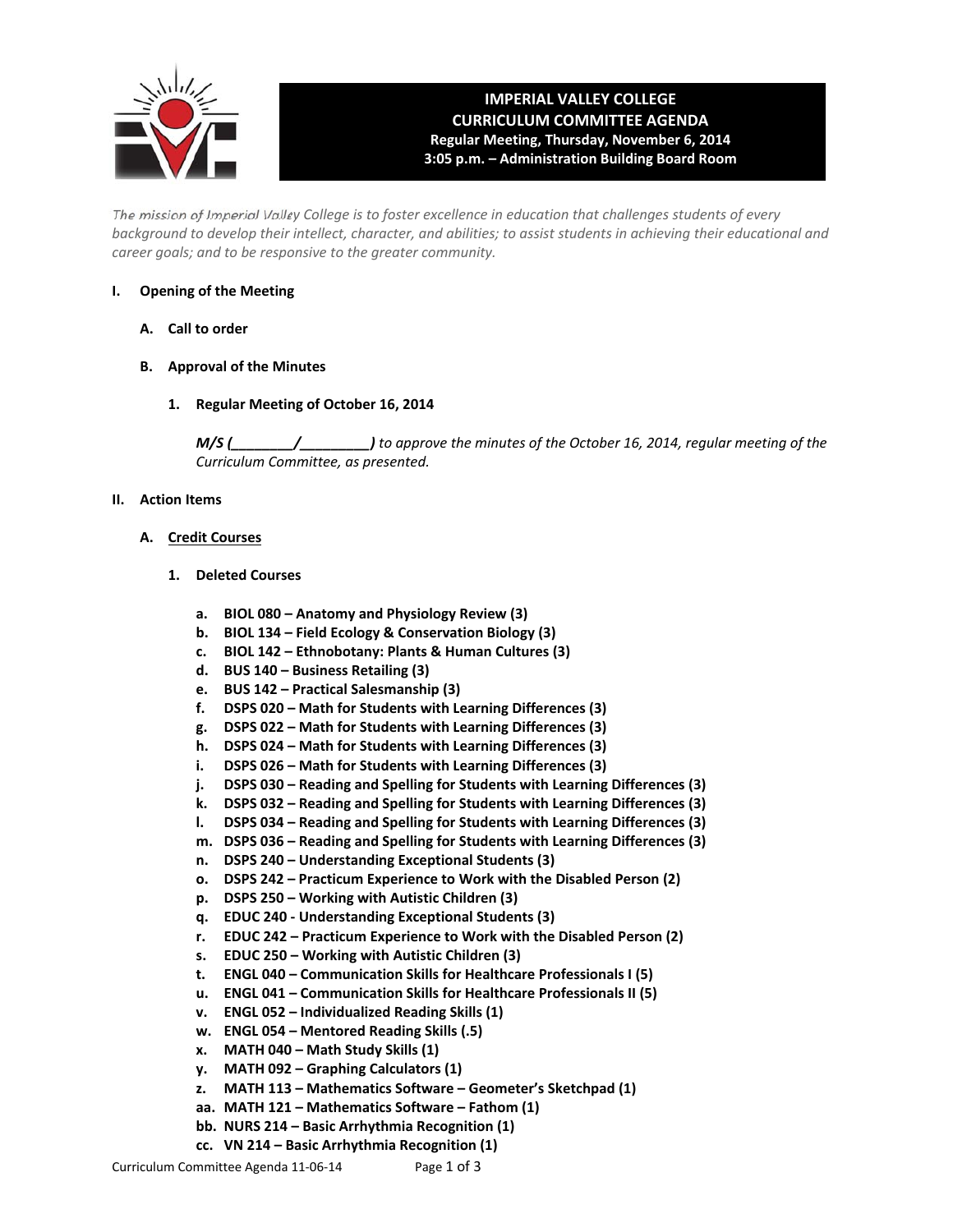

# **IMPERIAL VALLEY COLLEGE CURRICULUM COMMITTEE AGENDA Regular Meeting, Thursday, November 6, 2014 3:05 p.m. – Administration Building Board Room**

The mission of Imperial Valley College is to foster excellence in education that challenges students of every background to develop their intellect, character, and abilities; to assist students in achieving their educational and *career goals; and to be responsive to the greater community.*

# **I. Opening of the Meeting**

- **A. Call to order**
- **B. Approval of the Minutes**
	- **1. Regular Meeting of October 16, 2014**

*M/S (\_\_\_\_\_\_\_\_/\_\_\_\_\_\_\_\_\_) to approve the minutes of the October 16, 2014, regular meeting of the Curriculum Committee, as presented.* 

## **II. Action Items**

## **A. Credit Courses**

- **1. Deleted Courses**
	- **a. BIOL 080 – Anatomy and Physiology Review (3)**
	- **b. BIOL 134 – Field Ecology & Conservation Biology (3)**
	- **c. BIOL 142 – Ethnobotany: Plants & Human Cultures (3)**
	- **d. BUS 140 – Business Retailing (3)**
	- **e. BUS 142 – Practical Salesmanship (3)**
	- **f. DSPS 020 – Math for Students with Learning Differences (3)**
	- **g. DSPS 022 – Math for Students with Learning Differences (3)**
	- **h. DSPS 024 – Math for Students with Learning Differences (3)**
	- **i. DSPS 026 – Math for Students with Learning Differences (3)**
	- **j. DSPS 030 – Reading and Spelling for Students with Learning Differences (3)**
	- **k. DSPS 032 – Reading and Spelling for Students with Learning Differences (3)**
	- **l. DSPS 034 – Reading and Spelling for Students with Learning Differences (3)**
	- **m. DSPS 036 – Reading and Spelling for Students with Learning Differences (3)**
	- **n. DSPS 240 – Understanding Exceptional Students (3)**
	- **o. DSPS 242 – Practicum Experience to Work with the Disabled Person (2)**
	- **p. DSPS 250 – Working with Autistic Children (3)**
	- **q. EDUC 240 ‐ Understanding Exceptional Students (3)**
	- **r. EDUC 242 – Practicum Experience to Work with the Disabled Person (2)**
	- **s. EDUC 250 – Working with Autistic Children (3)**
	- **t. ENGL 040 – Communication Skills for Healthcare Professionals I (5)**
	- **u. ENGL 041 – Communication Skills for Healthcare Professionals II (5)**
	- **v. ENGL 052 – Individualized Reading Skills (1)**
	- **w. ENGL 054 – Mentored Reading Skills (.5)**
	- **x. MATH 040 – Math Study Skills (1)**
	- **y. MATH 092 – Graphing Calculators (1)**
	- **z. MATH 113 – Mathematics Software – Geometer's Sketchpad (1)**
	- **aa. MATH 121 – Mathematics Software – Fathom (1)**
	- **bb. NURS 214 – Basic Arrhythmia Recognition (1)**
	- **cc. VN 214 – Basic Arrhythmia Recognition (1)**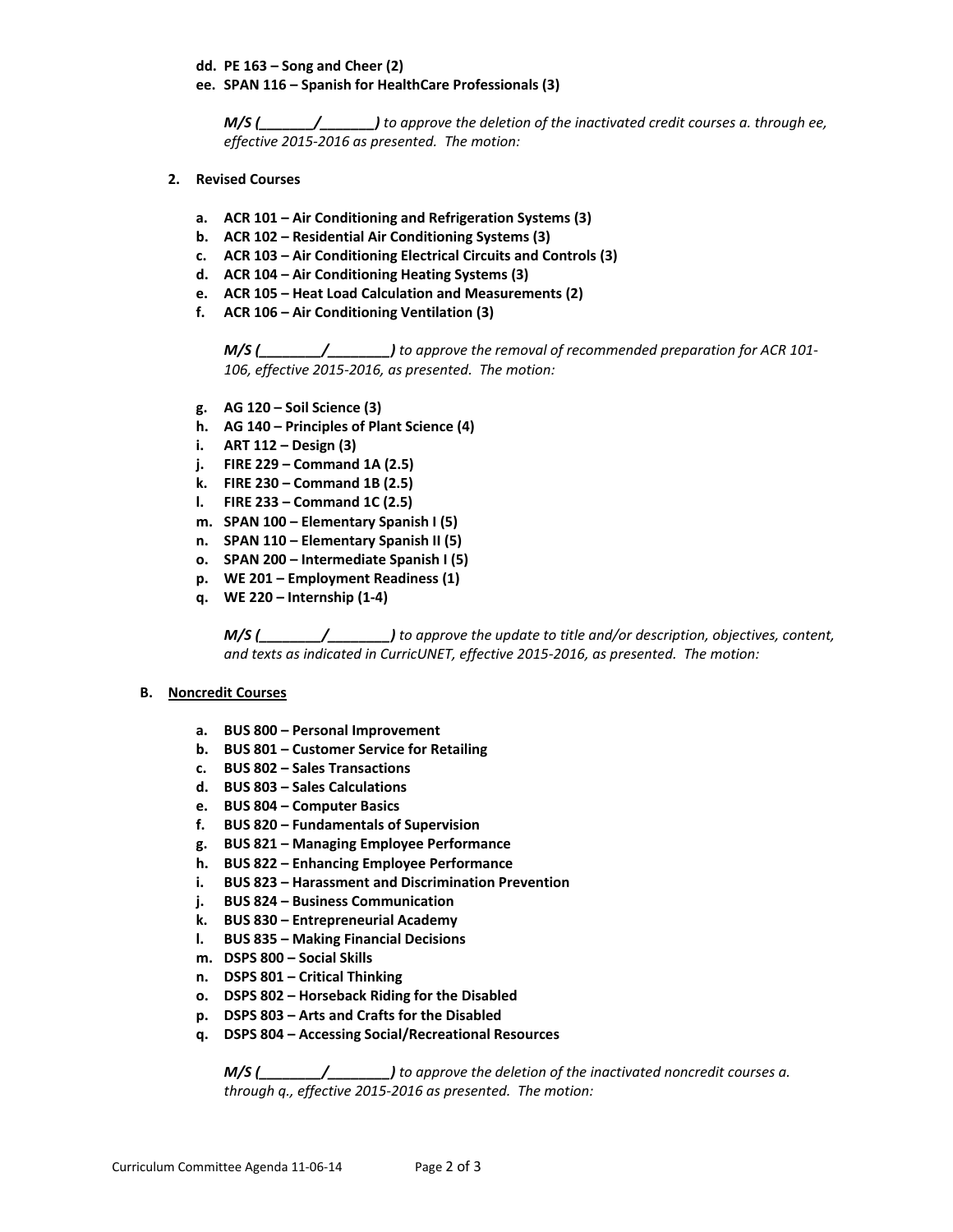- **dd. PE 163 – Song and Cheer (2)**
- **ee. SPAN 116 – Spanish for HealthCare Professionals (3)**

*M/S (\_\_\_\_\_\_\_/\_\_\_\_\_\_\_) to approve the deletion of the inactivated credit courses a. through ee, effective 2015‐2016 as presented. The motion:*

- **2. Revised Courses**
	- **a. ACR 101 – Air Conditioning and Refrigeration Systems (3)**
	- **b. ACR 102 – Residential Air Conditioning Systems (3)**
	- **c. ACR 103 – Air Conditioning Electrical Circuits and Controls (3)**
	- **d. ACR 104 – Air Conditioning Heating Systems (3)**
	- **e. ACR 105 – Heat Load Calculation and Measurements (2)**
	- **f. ACR 106 – Air Conditioning Ventilation (3)**

*M/S (\_\_\_\_\_\_\_\_/\_\_\_\_\_\_\_\_) to approve the removal of recommended preparation for ACR 101‐ 106, effective 2015‐2016, as presented. The motion:*

- **g. AG 120 – Soil Science (3)**
- **h. AG 140 – Principles of Plant Science (4)**
- **i. ART 112 – Design (3)**
- **j. FIRE 229 – Command 1A (2.5)**
- **k. FIRE 230 – Command 1B (2.5)**
- **l. FIRE 233 – Command 1C (2.5)**
- **m. SPAN 100 – Elementary Spanish I (5)**
- **n. SPAN 110 – Elementary Spanish II (5)**
- **o. SPAN 200 – Intermediate Spanish I (5)**
- **p. WE 201 – Employment Readiness (1)**
- **q. WE 220 – Internship (1‐4)**

*M/S (\_\_\_\_\_\_\_\_/\_\_\_\_\_\_\_\_) to approve the update to title and/or description, objectives, content, and texts as indicated in CurricUNET, effective 2015‐2016, as presented. The motion:*

#### **B. Noncredit Courses**

- **a. BUS 800 – Personal Improvement**
- **b. BUS 801 – Customer Service for Retailing**
- **c. BUS 802 – Sales Transactions**
- **d. BUS 803 – Sales Calculations**
- **e. BUS 804 – Computer Basics**
- **f. BUS 820 – Fundamentals of Supervision**
- **g. BUS 821 – Managing Employee Performance**
- **h. BUS 822 – Enhancing Employee Performance**
- **i. BUS 823 – Harassment and Discrimination Prevention**
- **j. BUS 824 – Business Communication**
- **k. BUS 830 – Entrepreneurial Academy**
- **l. BUS 835 – Making Financial Decisions**
- **m. DSPS 800 – Social Skills**
- **n. DSPS 801 – Critical Thinking**
- **o. DSPS 802 – Horseback Riding for the Disabled**
- **p. DSPS 803 – Arts and Crafts for the Disabled**
- **q. DSPS 804 – Accessing Social/Recreational Resources**

*M/S (\_\_\_\_\_\_\_\_/\_\_\_\_\_\_\_\_) to approve the deletion of the inactivated noncredit courses a. through q., effective 2015‐2016 as presented. The motion:*